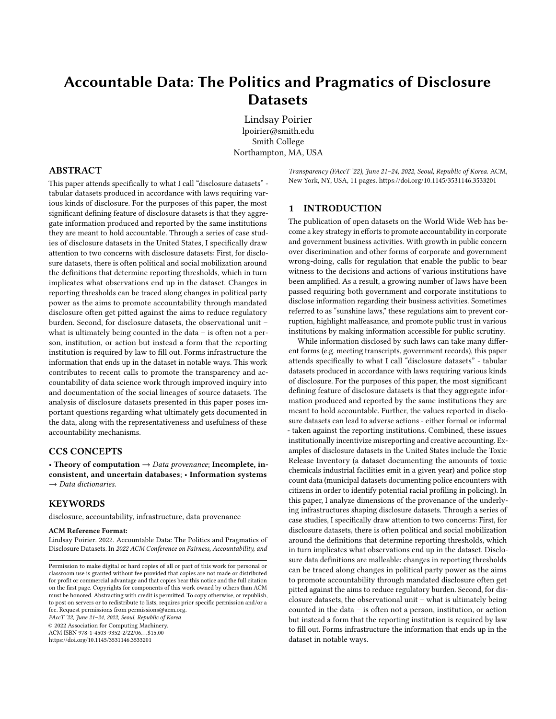# Accountable Data: The Politics and Pragmatics of Disclosure **Datasets**

[Lindsay Poirier](https://orcid.org/1234-5678-9012) lpoirier@smith.edu Smith College Northampton, MA, USA

#### ABSTRACT

This paper attends specifically to what I call "disclosure datasets" tabular datasets produced in accordance with laws requiring various kinds of disclosure. For the purposes of this paper, the most significant defining feature of disclosure datasets is that they aggregate information produced and reported by the same institutions they are meant to hold accountable. Through a series of case studies of disclosure datasets in the United States, I specifically draw attention to two concerns with disclosure datasets: First, for disclosure datasets, there is often political and social mobilization around the definitions that determine reporting thresholds, which in turn implicates what observations end up in the dataset. Changes in reporting thresholds can be traced along changes in political party power as the aims to promote accountability through mandated disclosure often get pitted against the aims to reduce regulatory burden. Second, for disclosure datasets, the observational unit – what is ultimately being counted in the data – is often not a person, institution, or action but instead a form that the reporting institution is required by law to fill out. Forms infrastructure the information that ends up in the dataset in notable ways. This work contributes to recent calls to promote the transparency and accountability of data science work through improved inquiry into and documentation of the social lineages of source datasets. The analysis of disclosure datasets presented in this paper poses important questions regarding what ultimately gets documented in the data, along with the representativeness and usefulness of these accountability mechanisms.

#### CCS CONCEPTS

• Theory of computation  $\rightarrow$  Data provenance; Incomplete, inconsistent, and uncertain databases; • Information systems  $\rightarrow$  Data dictionaries.

#### **KEYWORDS**

disclosure, accountability, infrastructure, data provenance

#### ACM Reference Format:

Lindsay Poirier. 2022. Accountable Data: The Politics and Pragmatics of Disclosure Datasets. In 2022 ACM Conference on Fairness, Accountability, and

FAccT '22, June 21–24, 2022, Seoul, Republic of Korea

© 2022 Association for Computing Machinery. ACM ISBN 978-1-4503-9352-2/22/06. . . \$15.00

<https://doi.org/10.1145/3531146.3533201>

Transparency (FAccT '22), June 21–24, 2022, Seoul, Republic of Korea. ACM, New York, NY, USA, [11](#page-10-0) pages.<https://doi.org/10.1145/3531146.3533201>

### 1 INTRODUCTION

The publication of open datasets on the World Wide Web has become a key strategy in efforts to promote accountability in corporate and government business activities. With growth in public concern over discrimination and other forms of corporate and government wrong-doing, calls for regulation that enable the public to bear witness to the decisions and actions of various institutions have been amplified. As a result, a growing number of laws have been passed requiring both government and corporate institutions to disclose information regarding their business activities. Sometimes referred to as "sunshine laws," these regulations aim to prevent corruption, highlight malfeasance, and promote public trust in various institutions by making information accessible for public scrutiny.

While information disclosed by such laws can take many different forms (e.g. meeting transcripts, government records), this paper attends specifically to what I call "disclosure datasets" - tabular datasets produced in accordance with laws requiring various kinds of disclosure. For the purposes of this paper, the most significant defining feature of disclosure datasets is that they aggregate information produced and reported by the same institutions they are meant to hold accountable. Further, the values reported in disclosure datasets can lead to adverse actions - either formal or informal - taken against the reporting institutions. Combined, these issues institutionally incentivize misreporting and creative accounting. Examples of disclosure datasets in the United States include the Toxic Release Inventory (a dataset documenting the amounts of toxic chemicals industrial facilities emit in a given year) and police stop count data (municipal datasets documenting police encounters with citizens in order to identify potential racial profiling in policing). In this paper, I analyze dimensions of the provenance of the underlying infrastructures shaping disclosure datasets. Through a series of case studies, I specifically draw attention to two concerns: First, for disclosure datasets, there is often political and social mobilization around the definitions that determine reporting thresholds, which in turn implicates what observations end up in the dataset. Disclosure data definitions are malleable: changes in reporting thresholds can be traced along changes in political party power as the aims to promote accountability through mandated disclosure often get pitted against the aims to reduce regulatory burden. Second, for disclosure datasets, the observational unit – what is ultimately being counted in the data – is often not a person, institution, or action but instead a form that the reporting institution is required by law to fill out. Forms infrastructure the information that ends up in the dataset in notable ways.

Permission to make digital or hard copies of all or part of this work for personal or classroom use is granted without fee provided that copies are not made or distributed for profit or commercial advantage and that copies bear this notice and the full citation on the first page. Copyrights for components of this work owned by others than ACM must be honored. Abstracting with credit is permitted. To copy otherwise, or republish, to post on servers or to redistribute to lists, requires prior specific permission and/or a fee. Request permissions from permissions@acm.org.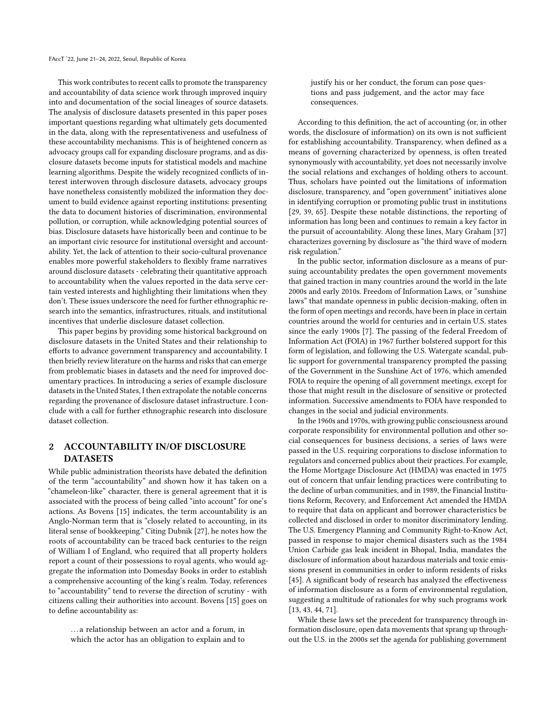This work contributes to recent calls to promote the transparency and accountability of data science work through improved inquiry into and documentation of the social lineages of source datasets. The analysis of disclosure datasets presented in this paper poses important questions regarding what ultimately gets documented in the data, along with the representativeness and usefulness of these accountability mechanisms. This is of heightened concern as advocacy groups call for expanding disclosure programs, and as disclosure datasets become inputs for statistical models and machine learning algorithms. Despite the widely recognized conflicts of interest interwoven through disclosure datasets, advocacy groups have nonetheless consistently mobilized the information they document to build evidence against reporting institutions: presenting the data to document histories of discrimination, environmental pollution, or corruption, while acknowledging potential sources of bias. Disclosure datasets have historically been and continue to be an important civic resource for institutional oversight and accountability. Yet, the lack of attention to their socio-cultural provenance enables more powerful stakeholders to flexibly frame narratives around disclosure datasets - celebrating their quantitative approach to accountability when the values reported in the data serve certain vested interests and highlighting their limitations when they don't. These issues underscore the need for further ethnographic research into the semantics, infrastructures, rituals, and institutional incentives that underlie disclosure dataset collection.

This paper begins by providing some historical background on disclosure datasets in the United States and their relationship to efforts to advance government transparency and accountability. I then briefly review literature on the harms and risks that can emerge from problematic biases in datasets and the need for improved documentary practices. In introducing a series of example disclosure datasets in the United States, I then extrapolate the notable concerns regarding the provenance of disclosure dataset infrastructure. I conclude with a call for further ethnographic research into disclosure dataset collection.

# 2 ACCOUNTABILITY IN/OF DISCLOSURE **DATASETS**

While public administration theorists have debated the definition of the term "accountability" and shown how it has taken on a "chameleon-like" character, there is general agreement that it is associated with the process of being called "into account" for one's actions. As Bovens [\[15\]](#page-8-0) indicates, the term accountability is an Anglo-Norman term that is "closely related to accounting, in its literal sense of bookkeeping." Citing Dubnik [\[27\]](#page-9-0), he notes how the roots of accountability can be traced back centuries to the reign of William I of England, who required that all property holders report a count of their possessions to royal agents, who would aggregate the information into Domesday Books in order to establish a comprehensive accounting of the king's realm. Today, references to "accountability" tend to reverse the direction of scrutiny - with citizens calling their authorities into account. Bovens [\[15\]](#page-8-0) goes on to define accountability as:

. . . a relationship between an actor and a forum, in which the actor has an obligation to explain and to justify his or her conduct, the forum can pose questions and pass judgement, and the actor may face consequences.

According to this definition, the act of accounting (or, in other words, the disclosure of information) on its own is not sufficient for establishing accountability. Transparency, when defined as a means of governing characterized by openness, is often treated synonymously with accountability, yet does not necessarily involve the social relations and exchanges of holding others to account. Thus, scholars have pointed out the limitations of information disclosure, transparency, and "open government" initiatives alone in identifying corruption or promoting public trust in institutions [\[29,](#page-9-1) [39,](#page-9-2) [65\]](#page-9-3). Despite these notable distinctions, the reporting of information has long been and continues to remain a key factor in the pursuit of accountability. Along these lines, Mary Graham [\[37\]](#page-9-4) characterizes governing by disclosure as "the third wave of modern risk regulation."

In the public sector, information disclosure as a means of pursuing accountability predates the open government movements that gained traction in many countries around the world in the late 2000s and early 2010s. Freedom of Information Laws, or "sunshine laws" that mandate openness in public decision-making, often in the form of open meetings and records, have been in place in certain countries around the world for centuries and in certain U.S. states since the early 1900s [\[7\]](#page-8-1). The passing of the federal Freedom of Information Act (FOIA) in 1967 further bolstered support for this form of legislation, and following the U.S. Watergate scandal, public support for governmental transparency prompted the passing of the Government in the Sunshine Act of 1976, which amended FOIA to require the opening of all government meetings, except for those that might result in the disclosure of sensitive or protected information. Successive amendments to FOIA have responded to changes in the social and judicial environments.

In the 1960s and 1970s, with growing public consciousness around corporate responsibility for environmental pollution and other social consequences for business decisions, a series of laws were passed in the U.S. requiring corporations to disclose information to regulators and concerned publics about their practices. For example, the Home Mortgage Disclosure Act (HMDA) was enacted in 1975 out of concern that unfair lending practices were contributing to the decline of urban communities, and in 1989, the Financial Institutions Reform, Recovery, and Enforcement Act amended the HMDA to require that data on applicant and borrower characteristics be collected and disclosed in order to monitor discriminatory lending. The U.S. Emergency Planning and Community Right-to-Know Act, passed in response to major chemical disasters such as the 1984 Union Carbide gas leak incident in Bhopal, India, mandates the disclosure of information about hazardous materials and toxic emissions present in communities in order to inform residents of risks [\[45\]](#page-9-5). A significant body of research has analyzed the effectiveness of information disclosure as a form of environmental regulation, suggesting a multitude of rationales for why such programs work [\[13,](#page-8-2) [43,](#page-9-6) [44,](#page-9-7) [71\]](#page-9-8).

While these laws set the precedent for transparency through information disclosure, open data movements that sprang up throughout the U.S. in the 2000s set the agenda for publishing government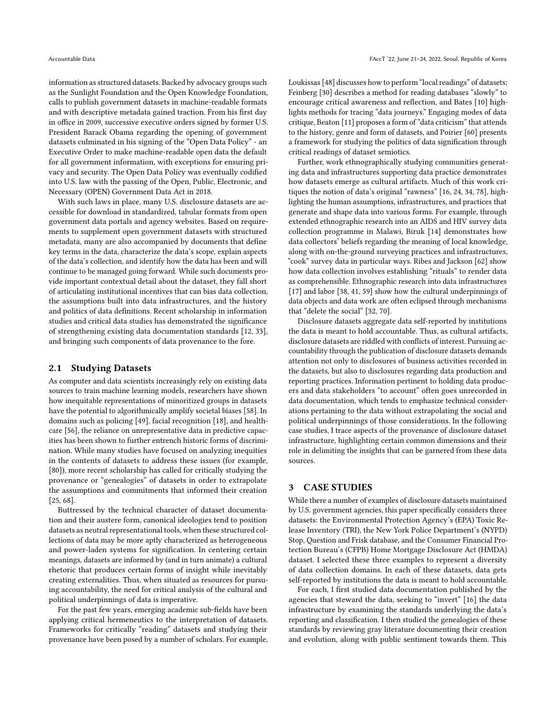information as structured datasets. Backed by advocacy groups such as the Sunlight Foundation and the Open Knowledge Foundation, calls to publish government datasets in machine-readable formats and with descriptive metadata gained traction. From his first day in office in 2009, successive executive orders signed by former U.S. President Barack Obama regarding the opening of government datasets culminated in his signing of the "Open Data Policy" - an Executive Order to make machine-readable open data the default for all government information, with exceptions for ensuring privacy and security. The Open Data Policy was eventually codified into U.S. law with the passing of the Open, Public, Electronic, and Necessary (OPEN) Government Data Act in 2018.

With such laws in place, many U.S. disclosure datasets are accessible for download in standardized, tabular formats from open government data portals and agency websites. Based on requirements to supplement open government datasets with structured metadata, many are also accompanied by documents that define key terms in the data, characterize the data's scope, explain aspects of the data's collection, and identify how the data has been and will continue to be managed going forward. While such documents provide important contextual detail about the dataset, they fall short of articulating institutional incentives that can bias data collection, the assumptions built into data infrastructures, and the history and politics of data definitions. Recent scholarship in information studies and critical data studies has demonstrated the significance of strengthening existing data documentation standards [\[12,](#page-8-3) [33\]](#page-9-9), and bringing such components of data provenance to the fore.

#### 2.1 Studying Datasets

As computer and data scientists increasingly rely on existing data sources to train machine learning models, researchers have shown how inequitable representations of minoritized groups in datasets have the potential to algorithmically amplify societal biases [\[58\]](#page-9-10). In domains such as policing [\[49\]](#page-9-11), facial recognition [\[18\]](#page-8-4), and healthcare [\[56\]](#page-9-12), the reliance on unrepresentative data in predictive capacities has been shown to further entrench historic forms of discrimination. While many studies have focused on analyzing inequities in the contents of datasets to address these issues (for example, [\[80\]](#page-10-1)), more recent scholarship has called for critically studying the provenance or "genealogies" of datasets in order to extrapolate the assumptions and commitments that informed their creation [\[25,](#page-9-13) [68\]](#page-9-14).

Buttressed by the technical character of dataset documentation and their austere form, canonical ideologies tend to position datasets as neutral representational tools, when these structured collections of data may be more aptly characterized as heterogeneous and power-laden systems for signification. In centering certain meanings, datasets are informed by (and in turn animate) a cultural rhetoric that produces certain forms of insight while inevitably creating externalities. Thus, when situated as resources for pursuing accountability, the need for critical analysis of the cultural and political underpinnings of data is imperative.

For the past few years, emerging academic sub-fields have been applying critical hermeneutics to the interpretation of datasets. Frameworks for critically "reading" datasets and studying their provenance have been posed by a number of scholars. For example,

Loukissas [\[48\]](#page-9-15) discusses how to perform "local readings" of datasets; Feinberg [\[30\]](#page-9-16) describes a method for reading databases "slowly" to encourage critical awareness and reflection, and Bates [\[10\]](#page-8-5) highlights methods for tracing "data journeys." Engaging modes of data critique, Beaton [\[11\]](#page-8-6) proposes a form of "data criticism" that attends to the history, genre and form of datasets, and Poirier [\[60\]](#page-9-17) presents a framework for studying the politics of data signification through critical readings of dataset semiotics.

Further, work ethnographically studying communities generating data and infrastructures supporting data practice demonstrates how datasets emerge as cultural artifacts. Much of this work critiques the notion of data's original "rawness" [\[16,](#page-8-7) [24,](#page-9-18) [34,](#page-9-19) [78\]](#page-10-2), highlighting the human assumptions, infrastructures, and practices that generate and shape data into various forms. For example, through extended ethnographic research into an AIDS and HIV survey data collection programme in Malawi, Biruk [\[14\]](#page-8-8) demonstrates how data collectors' beliefs regarding the meaning of local knowledge, along with on-the-ground surveying practices and infrastructures, "cook" survey data in particular ways. Ribes and Jackson [\[62\]](#page-9-20) show how data collection involves establishing "rituals" to render data as comprehensible. Ethnographic research into data infrastructures [\[17\]](#page-8-9) and labor [\[38,](#page-9-21) [41,](#page-9-22) [59\]](#page-9-23) show how the cultural underpinnings of data objects and data work are often eclipsed through mechanisms that "delete the social" [\[32,](#page-9-24) [70\]](#page-9-25).

Disclosure datasets aggregate data self-reported by institutions the data is meant to hold accountable. Thus, as cultural artifacts, disclosure datasets are riddled with conflicts of interest. Pursuing accountability through the publication of disclosure datasets demands attention not only to disclosures of business activities recorded in the datasets, but also to disclosures regarding data production and reporting practices. Information pertinent to holding data producers and data stakeholders "to account" often goes unrecorded in data documentation, which tends to emphasize technical considerations pertaining to the data without extrapolating the social and political underpinnings of those considerations. In the following case studies, I trace aspects of the provenance of disclosure dataset infrastructure, highlighting certain common dimensions and their role in delimiting the insights that can be garnered from these data sources.

#### 3 CASE STUDIES

While there a number of examples of disclosure datasets maintained by U.S. government agencies, this paper specifically considers three datasets: the Environmental Protection Agency's (EPA) Toxic Release Inventory (TRI), the New York Police Department's (NYPD) Stop, Question and Frisk database, and the Consumer Financial Protection Bureau's (CFPB) Home Mortgage Disclosure Act (HMDA) dataset. I selected these three examples to represent a diversity of data collection domains. In each of these datasets, data gets self-reported by institutions the data is meant to hold accountable.

For each, I first studied data documentation published by the agencies that steward the data, seeking to "invert" [\[16\]](#page-8-7) the data infrastructure by examining the standards underlying the data's reporting and classification. I then studied the genealogies of these standards by reviewing gray literature documenting their creation and evolution, along with public sentiment towards them. This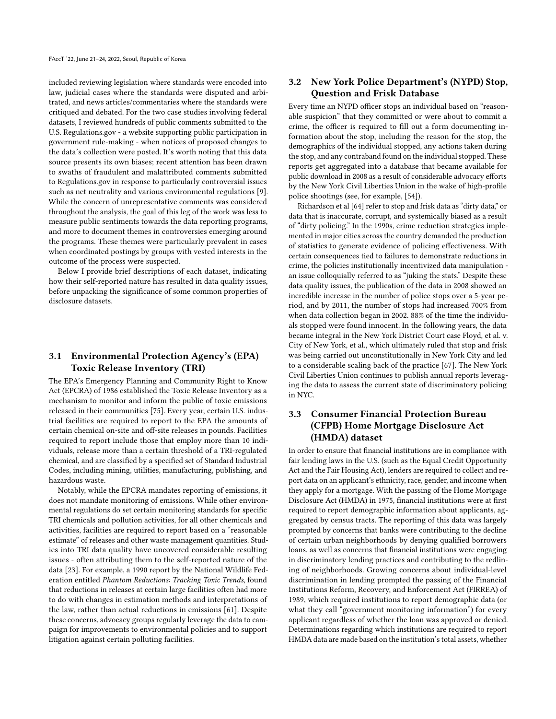included reviewing legislation where standards were encoded into law, judicial cases where the standards were disputed and arbitrated, and news articles/commentaries where the standards were critiqued and debated. For the two case studies involving federal datasets, I reviewed hundreds of public comments submitted to the U.S. Regulations.gov - a website supporting public participation in government rule-making - when notices of proposed changes to the data's collection were posted. It's worth noting that this data source presents its own biases; recent attention has been drawn to swaths of fraudulent and malattributed comments submitted to Regulations.gov in response to particularly controversial issues such as net neutrality and various environmental regulations [\[9\]](#page-8-10). While the concern of unrepresentative comments was considered throughout the analysis, the goal of this leg of the work was less to measure public sentiments towards the data reporting programs, and more to document themes in controversies emerging around the programs. These themes were particularly prevalent in cases when coordinated postings by groups with vested interests in the outcome of the process were suspected.

Below I provide brief descriptions of each dataset, indicating how their self-reported nature has resulted in data quality issues, before unpacking the significance of some common properties of disclosure datasets.

## 3.1 Environmental Protection Agency's (EPA) Toxic Release Inventory (TRI)

The EPA's Emergency Planning and Community Right to Know Act (EPCRA) of 1986 established the Toxic Release Inventory as a mechanism to monitor and inform the public of toxic emissions released in their communities [\[75\]](#page-10-3). Every year, certain U.S. industrial facilities are required to report to the EPA the amounts of certain chemical on-site and off-site releases in pounds. Facilities required to report include those that employ more than 10 individuals, release more than a certain threshold of a TRI-regulated chemical, and are classified by a specified set of Standard Industrial Codes, including mining, utilities, manufacturing, publishing, and hazardous waste.

Notably, while the EPCRA mandates reporting of emissions, it does not mandate monitoring of emissions. While other environmental regulations do set certain monitoring standards for specific TRI chemicals and pollution activities, for all other chemicals and activities, facilities are required to report based on a "reasonable estimate" of releases and other waste management quantities. Studies into TRI data quality have uncovered considerable resulting issues - often attributing them to the self-reported nature of the data [\[23\]](#page-8-11). For example, a 1990 report by the National Wildlife Federation entitled Phantom Reductions: Tracking Toxic Trends, found that reductions in releases at certain large facilities often had more to do with changes in estimation methods and interpretations of the law, rather than actual reductions in emissions [\[61\]](#page-9-26). Despite these concerns, advocacy groups regularly leverage the data to campaign for improvements to environmental policies and to support litigation against certain polluting facilities.

# 3.2 New York Police Department's (NYPD) Stop, Question and Frisk Database

Every time an NYPD officer stops an individual based on "reasonable suspicion" that they committed or were about to commit a crime, the officer is required to fill out a form documenting information about the stop, including the reason for the stop, the demographics of the individual stopped, any actions taken during the stop, and any contraband found on the individual stopped. These reports get aggregated into a database that became available for public download in 2008 as a result of considerable advocacy efforts by the New York Civil Liberties Union in the wake of high-profile police shootings (see, for example, [\[54\]](#page-9-27)).

Richardson et al [\[64\]](#page-9-28) refer to stop and frisk data as "dirty data," or data that is inaccurate, corrupt, and systemically biased as a result of "dirty policing." In the 1990s, crime reduction strategies implemented in major cities across the country demanded the production of statistics to generate evidence of policing effectiveness. With certain consequences tied to failures to demonstrate reductions in crime, the policies institutionally incentivized data manipulation an issue colloquially referred to as "juking the stats." Despite these data quality issues, the publication of the data in 2008 showed an incredible increase in the number of police stops over a 5-year period, and by 2011, the number of stops had increased 700% from when data collection began in 2002. 88% of the time the individuals stopped were found innocent. In the following years, the data became integral in the New York District Court case Floyd, et al. v. City of New York, et al., which ultimately ruled that stop and frisk was being carried out unconstitutionally in New York City and led to a considerable scaling back of the practice [\[67\]](#page-9-29). The New York Civil Liberties Union continues to publish annual reports leveraging the data to assess the current state of discriminatory policing in NYC.

# 3.3 Consumer Financial Protection Bureau (CFPB) Home Mortgage Disclosure Act (HMDA) dataset

In order to ensure that financial institutions are in compliance with fair lending laws in the U.S. (such as the Equal Credit Opportunity Act and the Fair Housing Act), lenders are required to collect and report data on an applicant's ethnicity, race, gender, and income when they apply for a mortgage. With the passing of the Home Mortgage Disclosure Act (HMDA) in 1975, financial institutions were at first required to report demographic information about applicants, aggregated by census tracts. The reporting of this data was largely prompted by concerns that banks were contributing to the decline of certain urban neighborhoods by denying qualified borrowers loans, as well as concerns that financial institutions were engaging in discriminatory lending practices and contributing to the redlining of neighborhoods. Growing concerns about individual-level discrimination in lending prompted the passing of the Financial Institutions Reform, Recovery, and Enforcement Act (FIRREA) of 1989, which required institutions to report demographic data (or what they call "government monitoring information") for every applicant regardless of whether the loan was approved or denied. Determinations regarding which institutions are required to report HMDA data are made based on the institution's total assets, whether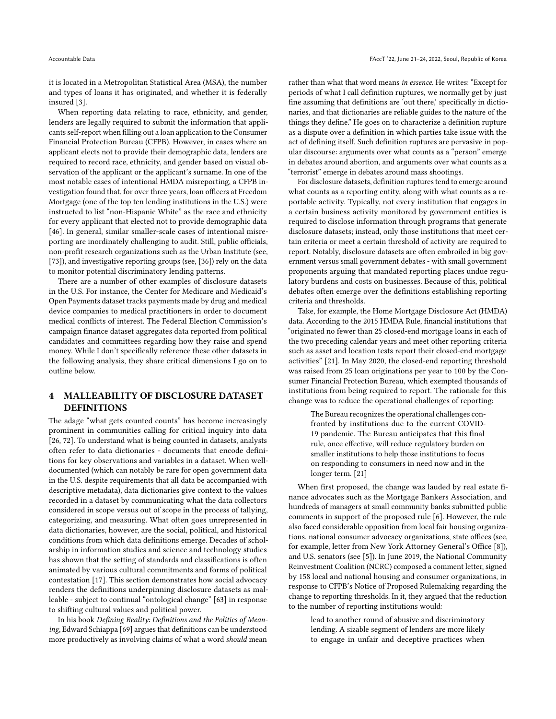it is located in a Metropolitan Statistical Area (MSA), the number and types of loans it has originated, and whether it is federally insured [\[3\]](#page-8-12).

When reporting data relating to race, ethnicity, and gender, lenders are legally required to submit the information that applicants self-report when filling out a loan application to the Consumer Financial Protection Bureau (CFPB). However, in cases where an applicant elects not to provide their demographic data, lenders are required to record race, ethnicity, and gender based on visual observation of the applicant or the applicant's surname. In one of the most notable cases of intentional HMDA misreporting, a CFPB investigation found that, for over three years, loan officers at Freedom Mortgage (one of the top ten lending institutions in the U.S.) were instructed to list "non-Hispanic White" as the race and ethnicity for every applicant that elected not to provide demographic data [\[46\]](#page-9-30). In general, similar smaller-scale cases of intentional misreporting are inordinately challenging to audit. Still, public officials, non-profit research organizations such as the Urban Institute (see, [\[73\]](#page-10-4)), and investigative reporting groups (see, [\[36\]](#page-9-31)) rely on the data to monitor potential discriminatory lending patterns.

There are a number of other examples of disclosure datasets in the U.S. For instance, the Center for Medicare and Medicaid's Open Payments dataset tracks payments made by drug and medical device companies to medical practitioners in order to document medical conflicts of interest. The Federal Election Commission's campaign finance dataset aggregates data reported from political candidates and committees regarding how they raise and spend money. While I don't specifically reference these other datasets in the following analysis, they share critical dimensions I go on to outline below.

### 4 MALLEABILITY OF DISCLOSURE DATASET DEFINITIONS

The adage "what gets counted counts" has become increasingly prominent in communities calling for critical inquiry into data [\[26,](#page-9-32) [72\]](#page-9-33). To understand what is being counted in datasets, analysts often refer to data dictionaries - documents that encode definitions for key observations and variables in a dataset. When welldocumented (which can notably be rare for open government data in the U.S. despite requirements that all data be accompanied with descriptive metadata), data dictionaries give context to the values recorded in a dataset by communicating what the data collectors considered in scope versus out of scope in the process of tallying, categorizing, and measuring. What often goes unrepresented in data dictionaries, however, are the social, political, and historical conditions from which data definitions emerge. Decades of scholarship in information studies and science and technology studies has shown that the setting of standards and classifications is often animated by various cultural commitments and forms of political contestation [\[17\]](#page-8-9). This section demonstrates how social advocacy renders the definitions underpinning disclosure datasets as malleable - subject to continual "ontological change" [\[63\]](#page-9-34) in response to shifting cultural values and political power.

In his book Defining Reality: Definitions and the Politics of Meaning, Edward Schiappa [\[69\]](#page-9-35) argues that definitions can be understood more productively as involving claims of what a word should mean

rather than what that word means in essence. He writes: "Except for periods of what I call definition ruptures, we normally get by just fine assuming that definitions are 'out there,' specifically in dictionaries, and that dictionaries are reliable guides to the nature of the things they define." He goes on to characterize a definition rupture as a dispute over a definition in which parties take issue with the act of defining itself. Such definition ruptures are pervasive in popular discourse: arguments over what counts as a "person" emerge in debates around abortion, and arguments over what counts as a "terrorist" emerge in debates around mass shootings.

For disclosure datasets, definition ruptures tend to emerge around what counts as a reporting entity, along with what counts as a reportable activity. Typically, not every institution that engages in a certain business activity monitored by government entities is required to disclose information through programs that generate disclosure datasets; instead, only those institutions that meet certain criteria or meet a certain threshold of activity are required to report. Notably, disclosure datasets are often embroiled in big government versus small government debates - with small government proponents arguing that mandated reporting places undue regulatory burdens and costs on businesses. Because of this, political debates often emerge over the definitions establishing reporting criteria and thresholds.

Take, for example, the Home Mortgage Disclosure Act (HMDA) data. According to the 2015 HMDA Rule, financial institutions that "originated no fewer than 25 closed-end mortgage loans in each of the two preceding calendar years and meet other reporting criteria such as asset and location tests report their closed-end mortgage activities" [\[21\]](#page-8-13). In May 2020, the closed-end reporting threshold was raised from 25 loan originations per year to 100 by the Consumer Financial Protection Bureau, which exempted thousands of institutions from being required to report. The rationale for this change was to reduce the operational challenges of reporting:

> The Bureau recognizes the operational challenges confronted by institutions due to the current COVID-19 pandemic. The Bureau anticipates that this final rule, once effective, will reduce regulatory burden on smaller institutions to help those institutions to focus on responding to consumers in need now and in the longer term. [\[21\]](#page-8-13)

When first proposed, the change was lauded by real estate finance advocates such as the Mortgage Bankers Association, and hundreds of managers at small community banks submitted public comments in support of the proposed rule [\[6\]](#page-8-14). However, the rule also faced considerable opposition from local fair housing organizations, national consumer advocacy organizations, state offices (see, for example, letter from New York Attorney General's Office [\[8\]](#page-8-15)), and U.S. senators (see [\[5\]](#page-8-16)). In June 2019, the National Community Reinvestment Coalition (NCRC) composed a comment letter, signed by 158 local and national housing and consumer organizations, in response to CFPB's Notice of Proposed Rulemaking regarding the change to reporting thresholds. In it, they argued that the reduction to the number of reporting institutions would:

lead to another round of abusive and discriminatory lending. A sizable segment of lenders are more likely to engage in unfair and deceptive practices when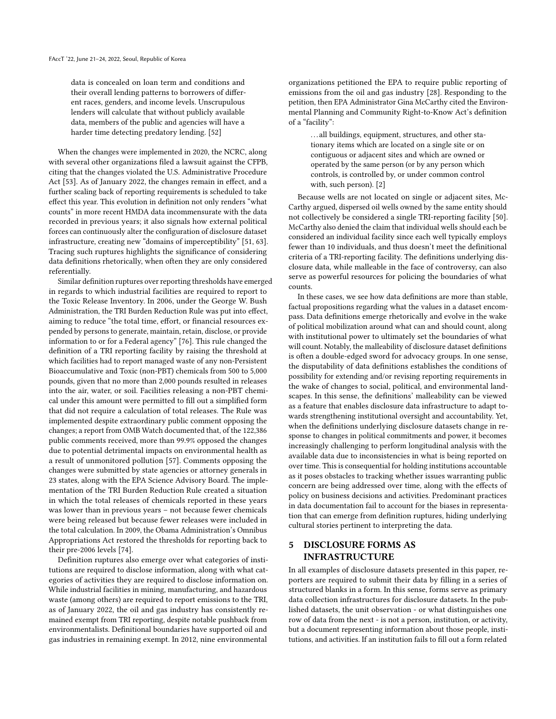data is concealed on loan term and conditions and their overall lending patterns to borrowers of different races, genders, and income levels. Unscrupulous lenders will calculate that without publicly available data, members of the public and agencies will have a harder time detecting predatory lending. [\[52\]](#page-9-36)

When the changes were implemented in 2020, the NCRC, along with several other organizations filed a lawsuit against the CFPB, citing that the changes violated the U.S. Administrative Procedure Act [\[53\]](#page-9-37). As of January 2022, the changes remain in effect, and a further scaling back of reporting requirements is scheduled to take effect this year. This evolution in definition not only renders "what counts" in more recent HMDA data incommensurate with the data recorded in previous years; it also signals how external political forces can continuously alter the configuration of disclosure dataset infrastructure, creating new "domains of imperceptibility" [\[51,](#page-9-38) [63\]](#page-9-34). Tracing such ruptures highlights the significance of considering data definitions rhetorically, when often they are only considered referentially.

Similar definition ruptures over reporting thresholds have emerged in regards to which industrial facilities are required to report to the Toxic Release Inventory. In 2006, under the George W. Bush Administration, the TRI Burden Reduction Rule was put into effect, aiming to reduce "the total time, effort, or financial resources expended by persons to generate, maintain, retain, disclose, or provide information to or for a Federal agency" [\[76\]](#page-10-5). This rule changed the definition of a TRI reporting facility by raising the threshold at which facilities had to report managed waste of any non-Persistent Bioaccumulative and Toxic (non-PBT) chemicals from 500 to 5,000 pounds, given that no more than 2,000 pounds resulted in releases into the air, water, or soil. Facilities releasing a non-PBT chemical under this amount were permitted to fill out a simplified form that did not require a calculation of total releases. The Rule was implemented despite extraordinary public comment opposing the changes; a report from OMB Watch documented that, of the 122,386 public comments received, more than 99.9% opposed the changes due to potential detrimental impacts on environmental health as a result of unmonitored pollution [\[57\]](#page-9-39). Comments opposing the changes were submitted by state agencies or attorney generals in 23 states, along with the EPA Science Advisory Board. The implementation of the TRI Burden Reduction Rule created a situation in which the total releases of chemicals reported in these years was lower than in previous years – not because fewer chemicals were being released but because fewer releases were included in the total calculation. In 2009, the Obama Administration's Omnibus Appropriations Act restored the thresholds for reporting back to their pre-2006 levels [\[74\]](#page-10-6).

Definition ruptures also emerge over what categories of institutions are required to disclose information, along with what categories of activities they are required to disclose information on. While industrial facilities in mining, manufacturing, and hazardous waste (among others) are required to report emissions to the TRI, as of January 2022, the oil and gas industry has consistently remained exempt from TRI reporting, despite notable pushback from environmentalists. Definitional boundaries have supported oil and gas industries in remaining exempt. In 2012, nine environmental

organizations petitioned the EPA to require public reporting of emissions from the oil and gas industry [\[28\]](#page-9-40). Responding to the petition, then EPA Administrator Gina McCarthy cited the Environmental Planning and Community Right-to-Know Act's definition of a "facility":

> ... all buildings, equipment, structures, and other stationary items which are located on a single site or on contiguous or adjacent sites and which are owned or operated by the same person (or by any person which controls, is controlled by, or under common control with, such person). [\[2\]](#page-8-17)

Because wells are not located on single or adjacent sites, Mc-Carthy argued, dispersed oil wells owned by the same entity should not collectively be considered a single TRI-reporting facility [\[50\]](#page-9-41). McCarthy also denied the claim that individual wells should each be considered an individual facility since each well typically employs fewer than 10 individuals, and thus doesn't meet the definitional criteria of a TRI-reporting facility. The definitions underlying disclosure data, while malleable in the face of controversy, can also serve as powerful resources for policing the boundaries of what counts.

In these cases, we see how data definitions are more than stable, factual propositions regarding what the values in a dataset encompass. Data definitions emerge rhetorically and evolve in the wake of political mobilization around what can and should count, along with institutional power to ultimately set the boundaries of what will count. Notably, the malleability of disclosure dataset definitions is often a double-edged sword for advocacy groups. In one sense, the disputability of data definitions establishes the conditions of possibility for extending and/or revising reporting requirements in the wake of changes to social, political, and environmental landscapes. In this sense, the definitions' malleability can be viewed as a feature that enables disclosure data infrastructure to adapt towards strengthening institutional oversight and accountability. Yet, when the definitions underlying disclosure datasets change in response to changes in political commitments and power, it becomes increasingly challenging to perform longitudinal analysis with the available data due to inconsistencies in what is being reported on over time. This is consequential for holding institutions accountable as it poses obstacles to tracking whether issues warranting public concern are being addressed over time, along with the effects of policy on business decisions and activities. Predominant practices in data documentation fail to account for the biases in representation that can emerge from definition ruptures, hiding underlying cultural stories pertinent to interpreting the data.

# 5 DISCLOSURE FORMS AS INFRASTRUCTURE

In all examples of disclosure datasets presented in this paper, reporters are required to submit their data by filling in a series of structured blanks in a form. In this sense, forms serve as primary data collection infrastructures for disclosure datasets. In the published datasets, the unit observation - or what distinguishes one row of data from the next - is not a person, institution, or activity, but a document representing information about those people, institutions, and activities. If an institution fails to fill out a form related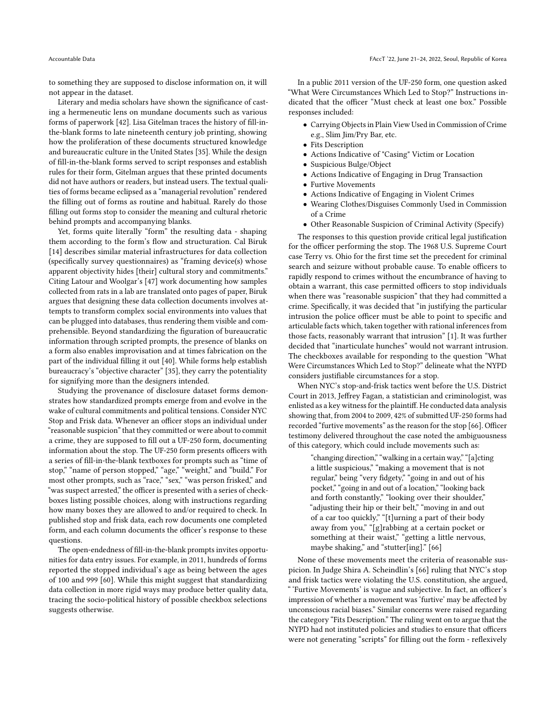to something they are supposed to disclose information on, it will not appear in the dataset.

Literary and media scholars have shown the significance of casting a hermeneutic lens on mundane documents such as various forms of paperwork [\[42\]](#page-9-42). Lisa Gitelman traces the history of fill-inthe-blank forms to late nineteenth century job printing, showing how the proliferation of these documents structured knowledge and bureaucratic culture in the United States [\[35\]](#page-9-43). While the design of fill-in-the-blank forms served to script responses and establish rules for their form, Gitelman argues that these printed documents did not have authors or readers, but instead users. The textual qualities of forms became eclipsed as a "managerial revolution" rendered the filling out of forms as routine and habitual. Rarely do those filling out forms stop to consider the meaning and cultural rhetoric behind prompts and accompanying blanks.

Yet, forms quite literally "form" the resulting data - shaping them according to the form's flow and structuration. Cal Biruk [\[14\]](#page-8-8) describes similar material infrastructures for data collection (specifically survey questionnaires) as "framing device(s) whose apparent objectivity hides [their] cultural story and commitments." Citing Latour and Woolgar's [\[47\]](#page-9-44) work documenting how samples collected from rats in a lab are translated onto pages of paper, Biruk argues that designing these data collection documents involves attempts to transform complex social environments into values that can be plugged into databases, thus rendering them visible and comprehensible. Beyond standardizing the figuration of bureaucratic information through scripted prompts, the presence of blanks on a form also enables improvisation and at times fabrication on the part of the individual filling it out [\[40\]](#page-9-45). While forms help establish bureaucracy's "objective character" [\[35\]](#page-9-43), they carry the potentiality for signifying more than the designers intended.

Studying the provenance of disclosure dataset forms demonstrates how standardized prompts emerge from and evolve in the wake of cultural commitments and political tensions. Consider NYC Stop and Frisk data. Whenever an officer stops an individual under "reasonable suspicion" that they committed or were about to commit a crime, they are supposed to fill out a UF-250 form, documenting information about the stop. The UF-250 form presents officers with a series of fill-in-the-blank textboxes for prompts such as "time of stop," "name of person stopped," "age," "weight," and "build." For most other prompts, such as "race," "sex," "was person frisked," and "was suspect arrested," the officer is presented with a series of checkboxes listing possible choices, along with instructions regarding how many boxes they are allowed to and/or required to check. In published stop and frisk data, each row documents one completed form, and each column documents the officer's response to these questions.

The open-endedness of fill-in-the-blank prompts invites opportunities for data entry issues. For example, in 2011, hundreds of forms reported the stopped individual's age as being between the ages of 100 and 999 [\[60\]](#page-9-17). While this might suggest that standardizing data collection in more rigid ways may produce better quality data, tracing the socio-political history of possible checkbox selections suggests otherwise.

In a public 2011 version of the UF-250 form, one question asked "What Were Circumstances Which Led to Stop?" Instructions indicated that the officer "Must check at least one box." Possible responses included:

- Carrying Objects in Plain View Used in Commission of Crime e.g., Slim Jim/Pry Bar, etc.
- Fits Description
- Actions Indicative of "Casing" Victim or Location
- Suspicious Bulge/Object
- Actions Indicative of Engaging in Drug Transaction
- Furtive Movements
- Actions Indicative of Engaging in Violent Crimes
- Wearing Clothes/Disguises Commonly Used in Commission of a Crime
- Other Reasonable Suspicion of Criminal Activity (Specify)

The responses to this question provide critical legal justification for the officer performing the stop. The 1968 U.S. Supreme Court case Terry vs. Ohio for the first time set the precedent for criminal search and seizure without probable cause. To enable officers to rapidly respond to crimes without the encumbrance of having to obtain a warrant, this case permitted officers to stop individuals when there was "reasonable suspicion" that they had committed a crime. Specifically, it was decided that "in justifying the particular intrusion the police officer must be able to point to specific and articulable facts which, taken together with rational inferences from those facts, reasonably warrant that intrusion" [\[1\]](#page-8-18). It was further decided that "inarticulate hunches" would not warrant intrusion. The checkboxes available for responding to the question "What Were Circumstances Which Led to Stop?" delineate what the NYPD considers justifiable circumstances for a stop.

When NYC's stop-and-frisk tactics went before the U.S. District Court in 2013, Jeffrey Fagan, a statistician and criminologist, was enlisted as a key witness for the plaintiff. He conducted data analysis showing that, from 2004 to 2009, 42% of submitted UF-250 forms had recorded "furtive movements" as the reason for the stop [\[66\]](#page-9-46). Officer testimony delivered throughout the case noted the ambiguousness of this category, which could include movements such as:

"changing direction," "walking in a certain way," "[a]cting a little suspicious," "making a movement that is not regular," being "very fidgety," "going in and out of his pocket," "going in and out of a location," "looking back and forth constantly," "looking over their shoulder," "adjusting their hip or their belt," "moving in and out of a car too quickly," "[t]urning a part of their body away from you," "[g]rabbing at a certain pocket or something at their waist," "getting a little nervous, maybe shaking," and "stutter[ing]." [\[66\]](#page-9-46)

None of these movements meet the criteria of reasonable suspicion. In Judge Shira A. Scheindlin's [\[66\]](#page-9-46) ruling that NYC's stop and frisk tactics were violating the U.S. constitution, she argued, " 'Furtive Movements' is vague and subjective. In fact, an officer's impression of whether a movement was 'furtive' may be affected by unconscious racial biases." Similar concerns were raised regarding the category "Fits Description." The ruling went on to argue that the NYPD had not instituted policies and studies to ensure that officers were not generating "scripts" for filling out the form - reflexively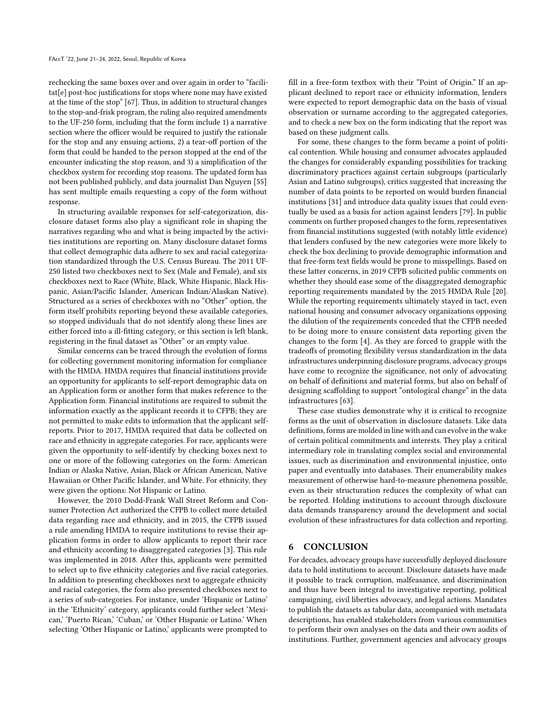rechecking the same boxes over and over again in order to "facilitat[e] post-hoc justifications for stops where none may have existed at the time of the stop" [\[67\]](#page-9-29). Thus, in addition to structural changes to the stop-and-frisk program, the ruling also required amendments to the UF-250 form, including that the form include 1) a narrative section where the officer would be required to justify the rationale for the stop and any ensuing actions, 2) a tear-off portion of the form that could be handed to the person stopped at the end of the encounter indicating the stop reason, and 3) a simplification of the checkbox system for recording stop reasons. The updated form has not been published publicly, and data journalist Dan Nguyen [\[55\]](#page-9-47) has sent multiple emails requesting a copy of the form without response.

In structuring available responses for self-categorization, disclosure dataset forms also play a significant role in shaping the narratives regarding who and what is being impacted by the activities institutions are reporting on. Many disclosure dataset forms that collect demographic data adhere to sex and racial categorization standardized through the U.S. Census Bureau. The 2011 UF-250 listed two checkboxes next to Sex (Male and Female), and six checkboxes next to Race (White, Black, White Hispanic, Black Hispanic, Asian/Pacific Islander, American Indian/Alaskan Native). Structured as a series of checkboxes with no "Other" option, the form itself prohibits reporting beyond these available categories, so stopped individuals that do not identify along these lines are either forced into a ill-fitting category, or this section is left blank, registering in the final dataset as "Other" or an empty value.

Similar concerns can be traced through the evolution of forms for collecting government monitoring information for compliance with the HMDA. HMDA requires that financial institutions provide an opportunity for applicants to self-report demographic data on an Application form or another form that makes reference to the Application form. Financial institutions are required to submit the information exactly as the applicant records it to CFPB; they are not permitted to make edits to information that the applicant selfreports. Prior to 2017, HMDA required that data be collected on race and ethnicity in aggregate categories. For race, applicants were given the opportunity to self-identify by checking boxes next to one or more of the following categories on the form: American Indian or Alaska Native, Asian, Black or African American, Native Hawaiian or Other Pacific Islander, and White. For ethnicity, they were given the options: Not Hispanic or Latino.

However, the 2010 Dodd-Frank Wall Street Reform and Consumer Protection Act authorized the CFPB to collect more detailed data regarding race and ethnicity, and in 2015, the CFPB issued a rule amending HMDA to require institutions to revise their application forms in order to allow applicants to report their race and ethnicity according to disaggregated categories [\[3\]](#page-8-12). This rule was implemented in 2018. After this, applicants were permitted to select up to five ethnicity categories and five racial categories. In addition to presenting checkboxes next to aggregate ethnicity and racial categories, the form also presented checkboxes next to a series of sub-categories. For instance, under 'Hispanic or Latino' in the 'Ethnicity' category, applicants could further select 'Mexican,' 'Puerto Rican,' 'Cuban,' or 'Other Hispanic or Latino.' When selecting 'Other Hispanic or Latino,' applicants were prompted to

fill in a free-form textbox with their "Point of Origin." If an applicant declined to report race or ethnicity information, lenders were expected to report demographic data on the basis of visual observation or surname according to the aggregated categories, and to check a new box on the form indicating that the report was based on these judgment calls.

For some, these changes to the form became a point of political contention. While housing and consumer advocates applauded the changes for considerably expanding possibilities for tracking discriminatory practices against certain subgroups (particularly Asian and Latino subgroups), critics suggested that increasing the number of data points to be reported on would burden financial institutions [\[31\]](#page-9-48) and introduce data quality issues that could eventually be used as a basis for action against lenders [\[79\]](#page-10-7). In public comments on further proposed changes to the form, representatives from financial institutions suggested (with notably little evidence) that lenders confused by the new categories were more likely to check the box declining to provide demographic information and that free-form text fields would be prone to misspellings. Based on these latter concerns, in 2019 CFPB solicited public comments on whether they should ease some of the disaggregated demographic reporting requirements mandated by the 2015 HMDA Rule [\[20\]](#page-8-19). While the reporting requirements ultimately stayed in tact, even national housing and consumer advocacy organizations opposing the dilution of the requirements conceded that the CFPB needed to be doing more to ensure consistent data reporting given the changes to the form [\[4\]](#page-8-20). As they are forced to grapple with the tradeoffs of promoting flexibility versus standardization in the data infrastructures underpinning disclosure programs, advocacy groups have come to recognize the significance, not only of advocating on behalf of definitions and material forms, but also on behalf of designing scaffolding to support "ontological change" in the data infrastructures [\[63\]](#page-9-34).

These case studies demonstrate why it is critical to recognize forms as the unit of observation in disclosure datasets. Like data definitions, forms are molded in line with and can evolve in the wake of certain political commitments and interests. They play a critical intermediary role in translating complex social and environmental issues, such as discrimination and environmental injustice, onto paper and eventually into databases. Their enumerability makes measurement of otherwise hard-to-measure phenomena possible, even as their structuration reduces the complexity of what can be reported. Holding institutions to account through disclosure data demands transparency around the development and social evolution of these infrastructures for data collection and reporting.

#### 6 CONCLUSION

For decades, advocacy groups have successfully deployed disclosure data to hold institutions to account. Disclosure datasets have made it possible to track corruption, malfeasance, and discrimination and thus have been integral to investigative reporting, political campaigning, civil liberties advocacy, and legal actions. Mandates to publish the datasets as tabular data, accompanied with metadata descriptions, has enabled stakeholders from various communities to perform their own analyses on the data and their own audits of institutions. Further, government agencies and advocacy groups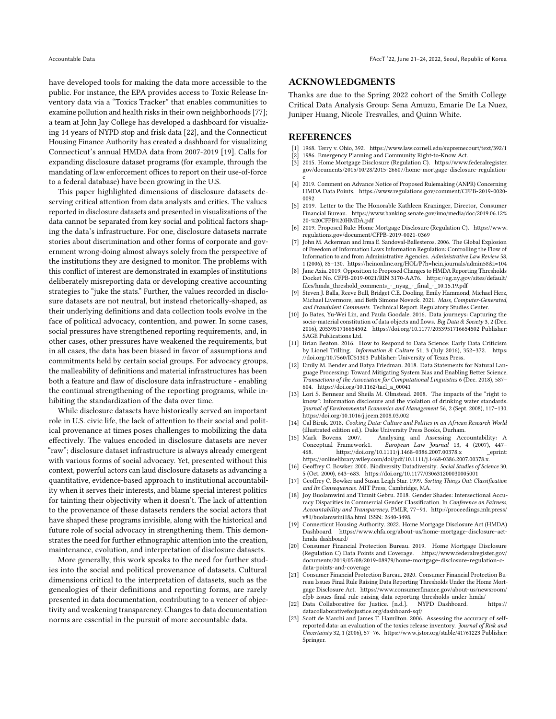have developed tools for making the data more accessible to the public. For instance, the EPA provides access to Toxic Release Inventory data via a "Toxics Tracker" that enables communities to examine pollution and health risks in their own neighborhoods [\[77\]](#page-10-8); a team at John Jay College has developed a dashboard for visualizing 14 years of NYPD stop and frisk data [\[22\]](#page-8-21), and the Connecticut Housing Finance Authority has created a dashboard for visualizing Connecticut's annual HMDA data from 2007-2019 [\[19\]](#page-8-22). Calls for expanding disclosure dataset programs (for example, through the mandating of law enforcement offices to report on their use-of-force to a federal database) have been growing in the U.S.

This paper highlighted dimensions of disclosure datasets deserving critical attention from data analysts and critics. The values reported in disclosure datasets and presented in visualizations of the data cannot be separated from key social and political factors shaping the data's infrastructure. For one, disclosure datasets narrate stories about discrimination and other forms of corporate and government wrong-doing almost always solely from the perspective of the institutions they are designed to monitor. The problems with this conflict of interest are demonstrated in examples of institutions deliberately misreporting data or developing creative accounting strategies to "juke the stats." Further, the values recorded in disclosure datasets are not neutral, but instead rhetorically-shaped, as their underlying definitions and data collection tools evolve in the face of political advocacy, contention, and power. In some cases, social pressures have strengthened reporting requirements, and, in other cases, other pressures have weakened the requirements, but in all cases, the data has been biased in favor of assumptions and commitments held by certain social groups. For advocacy groups, the malleability of definitions and material infrastructures has been both a feature and flaw of disclosure data infrastructure - enabling the continual strengthening of the reporting programs, while inhibiting the standardization of the data over time.

While disclosure datasets have historically served an important role in U.S. civic life, the lack of attention to their social and political provenance at times poses challenges to mobilizing the data effectively. The values encoded in disclosure datasets are never "raw"; disclosure dataset infrastructure is always already emergent with various forms of social advocacy. Yet, presented without this context, powerful actors can laud disclosure datasets as advancing a quantitative, evidence-based approach to institutional accountability when it serves their interests, and blame special interest politics for tainting their objectivity when it doesn't. The lack of attention to the provenance of these datasets renders the social actors that have shaped these programs invisible, along with the historical and future role of social advocacy in strengthening them. This demonstrates the need for further ethnographic attention into the creation, maintenance, evolution, and interpretation of disclosure datasets.

More generally, this work speaks to the need for further studies into the social and political provenance of datasets. Cultural dimensions critical to the interpretation of datasets, such as the genealogies of their definitions and reporting forms, are rarely presented in data documentation, contributing to a veneer of objectivity and weakening transparency. Changes to data documentation norms are essential in the pursuit of more accountable data.

#### ACKNOWLEDGMENTS

Thanks are due to the Spring 2022 cohort of the Smith College Critical Data Analysis Group: Sena Amuzu, Emarie De La Nuez, Juniper Huang, Nicole Tresvalles, and Quinn White.

#### REFERENCES

- <span id="page-8-18"></span>[1] 1968. Terry v. Ohio, 392.<https://www.law.cornell.edu/supremecourt/text/392/1>
- <span id="page-8-17"></span>[2] 1986. Emergency Planning and Community Right-to-Know Act.
- <span id="page-8-12"></span>2015. Home Mortgage Disclosure (Regulation C). [https://www.federalregister.](https://www.federalregister.gov/documents/2015/10/28/2015-26607/home-mortgage-disclosure-regulation-c) [gov/documents/2015/10/28/2015-26607/home-mortgage-disclosure-regulation](https://www.federalregister.gov/documents/2015/10/28/2015-26607/home-mortgage-disclosure-regulation-c)[c](https://www.federalregister.gov/documents/2015/10/28/2015-26607/home-mortgage-disclosure-regulation-c)
- <span id="page-8-20"></span>[4] 2019. Comment on Advance Notice of Proposed Rulemaking (ANPR) Concerning HMDA Data Points. [https://www.regulations.gov/comment/CFPB-2019-0020-](https://www.regulations.gov/comment/CFPB-2019-0020-0092) [0092](https://www.regulations.gov/comment/CFPB-2019-0020-0092)
- <span id="page-8-16"></span>[5] 2019. Letter to the The Honorable Kathleen Kraninger, Director, Consumer Financial Bureau. [https://www.banking.senate.gov/imo/media/doc/2019.06.12%](https://www.banking.senate.gov/imo/media/doc/2019.06.12%20-%20CFPB%20HMDA.pdf) [20-%20CFPB%20HMDA.pdf](https://www.banking.senate.gov/imo/media/doc/2019.06.12%20-%20CFPB%20HMDA.pdf)
- <span id="page-8-14"></span>[6] 2019. Proposed Rule: Home Mortgage Disclosure (Regulation C). [https://www.](https://www.regulations.gov/document/CFPB-2019-0021-0369) [regulations.gov/document/CFPB-2019-0021-0369](https://www.regulations.gov/document/CFPB-2019-0021-0369)
- <span id="page-8-1"></span>[7] John M. Ackerman and Irma E. Sandoval-Ballesteros. 2006. The Global Explosion of Freedom of Information Laws Information Regulation: Controlling the Flow of Information to and from Administrative Agencies. Administrative Law Review 58, 1 (2006), 85–130.<https://heinonline.org/HOL/P?h=hein.journals/admin58&i=104>
- <span id="page-8-15"></span>[8] Jane Azia. 2019. Opposition to Proposed Changes to HMDA Reporting Thresholds Docket No. CFPB-2019-0021/RIN 3170-AA76. [https://ag.ny.gov/sites/default/](https://ag.ny.gov/sites/default/files/hmda_threshold_comments_-_nyag_-_final_-_10.15.19.pdf) [files/hmda\\_threshold\\_comments\\_-\\_nyag\\_-\\_final\\_-\\_10.15.19.pdf](https://ag.ny.gov/sites/default/files/hmda_threshold_comments_-_nyag_-_final_-_10.15.19.pdf)
- <span id="page-8-10"></span>Steven J. Balla, Reeve Bull, Bridget C.E. Dooling, Emily Hammond, Michael Herz, Michael Livermore, and Beth Simone Noveck. 2021. Mass, Computer-Generated, and Fraudulent Comments. Technical Report. Regulatory Studies Center.
- <span id="page-8-5"></span>[10] Jo Bates, Yu-Wei Lin, and Paula Goodale. 2016. Data journeys: Capturing the socio-material constitution of data objects and flows. Big Data & Society 3, 2 (Dec. 2016), 2053951716654502.<https://doi.org/10.1177/2053951716654502> Publisher: SAGE Publications Ltd.
- <span id="page-8-6"></span>[11] Brian Beaton. 2016. How to Respond to Data Science: Early Data Criticism by Lionel Trilling. Information & Culture 51, 3 (July 2016), 352–372. [https:](https://doi.org/10.7560/IC51303) [//doi.org/10.7560/IC51303](https://doi.org/10.7560/IC51303) Publisher: University of Texas Press.
- <span id="page-8-3"></span>[12] Emily M. Bender and Batya Friedman. 2018. Data Statements for Natural Language Processing: Toward Mitigating System Bias and Enabling Better Science. Transactions of the Association for Computational Linguistics 6 (Dec. 2018), 587– 604. [https://doi.org/10.1162/tacl\\_a\\_00041](https://doi.org/10.1162/tacl_a_00041)
- <span id="page-8-2"></span>[13] Lori S. Bennear and Sheila M. Olmstead. 2008. The impacts of the "right to know": Information disclosure and the violation of drinking water standards. Journal of Environmental Economics and Management 56, 2 (Sept. 2008), 117–130. <https://doi.org/10.1016/j.jeem.2008.03.002>
- <span id="page-8-8"></span>[14] Cal Biruk. 2018. Cooking Data: Culture and Politics in an African Research World (illustrated edition ed.). Duke University Press Books, Durham.
- <span id="page-8-0"></span>[15] Mark Bovens. 2007. Analysing and Assessing Accountability: A European Law Journal 13, 4 (2007), 447468.<https://doi.org/10.1111/j.1468-0386.2007.00378.x> \_ \_ eprint: https://onlinelibrary.wiley.com/doi/pdf/10.1111/j.1468-0386.2007.00378.x.
- <span id="page-8-7"></span>[16] Geoffrey C. Bowker. 2000. Biodiversity Datadiversity. Social Studies of Science 30, 5 (Oct. 2000), 643–683.<https://doi.org/10.1177/030631200030005001>
- <span id="page-8-9"></span>[17] Geoffrey C. Bowker and Susan Leigh Star. 1999. Sorting Things Out: Classification and Its Consequences. MIT Press, Cambridge, MA.
- <span id="page-8-4"></span>[18] Joy Buolamwini and Timnit Gebru. 2018. Gender Shades: Intersectional Accuracy Disparities in Commercial Gender Classification. In Conference on Fairness, Accountability and Transparency. PMLR, 77–91. [http://proceedings.mlr.press/](http://proceedings.mlr.press/v81/buolamwini18a.html) [v81/buolamwini18a.html](http://proceedings.mlr.press/v81/buolamwini18a.html) ISSN: 2640-3498.
- <span id="page-8-22"></span>[19] Connecticut Housing Authority. 2022. Home Mortgage Disclosure Act (HMDA) Dashboard. [https://www.chfa.org/about-us/home-mortgage-disclosure-act](https://www.chfa.org/about-us/home-mortgage-disclosure-act-hmda-dashboard/)[hmda-dashboard/](https://www.chfa.org/about-us/home-mortgage-disclosure-act-hmda-dashboard/)
- <span id="page-8-19"></span>[20] Consumer Financial Protection Bureau. 2019. Home Mortgage Disclosure (Regulation C) Data Points and Coverage. [https://www.federalregister.gov/](https://www.federalregister.gov/documents/2019/05/08/2019-08979/home-mortgage-disclosure-regulation-c-data-points-and-coverage) [documents/2019/05/08/2019-08979/home-mortgage-disclosure-regulation-c](https://www.federalregister.gov/documents/2019/05/08/2019-08979/home-mortgage-disclosure-regulation-c-data-points-and-coverage)[data-points-and-coverage](https://www.federalregister.gov/documents/2019/05/08/2019-08979/home-mortgage-disclosure-regulation-c-data-points-and-coverage)
- <span id="page-8-13"></span>[21] Consumer Financial Protection Bureau. 2020. Consumer Financial Protection Bureau Issues Final Rule Raising Data Reporting Thresholds Under the Home Mortgage Disclosure Act. [https://www.consumerfinance.gov/about-us/newsroom/](https://www.consumerfinance.gov/about-us/newsroom/cfpb-issues-final-rule-raising-data-reporting-thresholds-under-hmda/) [cfpb-issues-final-rule-raising-data-reporting-thresholds-under-hmda/](https://www.consumerfinance.gov/about-us/newsroom/cfpb-issues-final-rule-raising-data-reporting-thresholds-under-hmda/)
- <span id="page-8-21"></span>[22] Data Collaborative for Justice. [n.d.]. NYPD Dashboard. [https://](https://datacollaborativeforjustice.org/dashboard-sqf/) [datacollaborativeforjustice.org/dashboard-sqf/](https://datacollaborativeforjustice.org/dashboard-sqf/)
- <span id="page-8-11"></span>[23] Scott de Marchi and James T. Hamilton. 2006. Assessing the accuracy of selfreported data: an evaluation of the toxics release inventory. Journal of Risk and Uncertainty 32, 1 (2006), 57–76.<https://www.jstor.org/stable/41761223> Publisher: Springer.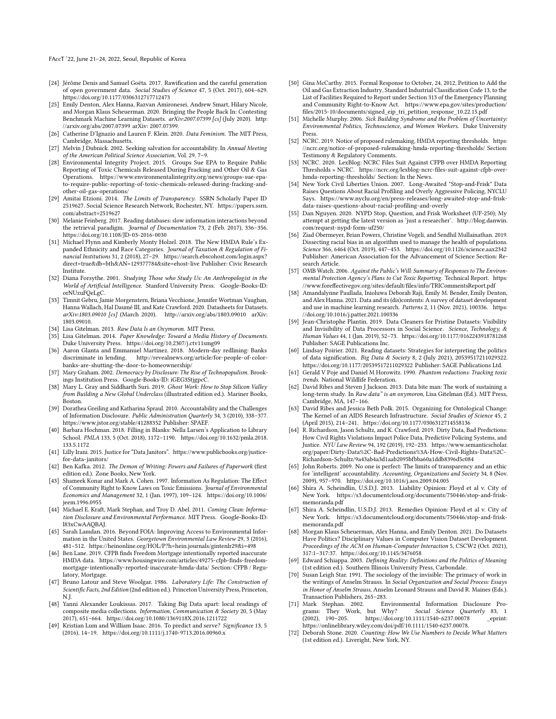- <span id="page-9-18"></span>[24] Jérôme Denis and Samuel Goëta. 2017. Rawification and the careful generation of open government data. Social Studies of Science 47, 5 (Oct. 2017), 604–629. <https://doi.org/10.1177/0306312717712473>
- <span id="page-9-13"></span>[25] Emily Denton, Alex Hanna, Razvan Amironesei, Andrew Smart, Hilary Nicole, and Morgan Klaus Scheuerman. 2020. Bringing the People Back In: Contesting Benchmark Machine Learning Datasets. arXiv:2007.07399 [cs] (July 2020). [http:](http://arxiv.org/abs/2007.07399) [//arxiv.org/abs/2007.07399](http://arxiv.org/abs/2007.07399) arXiv: 2007.07399.
- <span id="page-9-32"></span>[26] Catherine D'Ignazio and Lauren F. Klein. 2020. Data Feminism. The MIT Press, Cambridge, Massachusetts.
- <span id="page-9-0"></span>[27] Melvin J Dubnick. 2002. Seeking salvation for accountability. In Annual Meeting of the American Political Science Association, Vol. 29. 7–9.
- <span id="page-9-40"></span>[28] Environmental Integrity Project. 2015. Groups Sue EPA to Require Public Reporting of Toxic Chemicals Released During Fracking and Other Oil & Gas Operations. [https://www.environmentalintegrity.org/news/groups-sue-epa](https://www.environmentalintegrity.org/news/groups-sue-epa-to-require-public-reporting-of-toxic-chemicals-released-during-fracking-and-other-oil-gas-operations/)[to-require-public-reporting-of-toxic-chemicals-released-during-fracking-and](https://www.environmentalintegrity.org/news/groups-sue-epa-to-require-public-reporting-of-toxic-chemicals-released-during-fracking-and-other-oil-gas-operations/)[other-oil-gas-operations/](https://www.environmentalintegrity.org/news/groups-sue-epa-to-require-public-reporting-of-toxic-chemicals-released-during-fracking-and-other-oil-gas-operations/)
- <span id="page-9-1"></span>[29] Amitai Etzioni. 2014. The Limits of Transparency. SSRN Scholarly Paper ID 2519627. Social Science Research Network, Rochester, NY. [https://papers.ssrn.](https://papers.ssrn.com/abstract=2519627) [com/abstract=2519627](https://papers.ssrn.com/abstract=2519627)
- <span id="page-9-16"></span>[30] Melanie Feinberg. 2017. Reading databases: slow information interactions beyond the retrieval paradigm. Journal of Documentation 73, 2 (Feb. 2017), 336–356. <https://doi.org/10.1108/JD-03-2016-0030>
- <span id="page-9-48"></span>[31] Michael Flynn and Kimberly Monty Holzel. 2018. The New HMDA Rule's Expanded Ethnicity and Race Categories. Journal of Taxation & Regulation of Financial Institutions 31, 2 (2018), 27–29. [https://search.ebscohost.com/login.aspx?](https://search.ebscohost.com/login.aspx?direct=true&db=bth&AN=129377784&site=ehost-live) [direct=true&db=bth&AN=129377784&site=ehost-live](https://search.ebscohost.com/login.aspx?direct=true&db=bth&AN=129377784&site=ehost-live) Publisher: Civic Research Institute.
- <span id="page-9-24"></span>[32] Diana Forsythe. 2001. Studying Those who Study Us: An Anthropologist in the World of Artificial Intelligence. Stanford University Press. Google-Books-ID: orNUzuFQeLgC.
- <span id="page-9-9"></span>[33] Timnit Gebru, Jamie Morgenstern, Briana Vecchione, Jennifer Wortman Vaughan, Hanna Wallach, Hal Daumé III, and Kate Crawford. 2020. Datasheets for Datasets. arXiv:1803.09010 [cs] (March 2020).<http://arxiv.org/abs/1803.09010> arXiv: 1803.09010.
- <span id="page-9-19"></span>[34] Lisa Gitelman. 2013. Raw Data Is an Oxymoron. MIT Press.
- <span id="page-9-43"></span>[35] Lisa Gitelman. 2014. Paper Knowledge: Toward a Media History of Documents. Duke University Press.<https://doi.org/10.2307/j.ctv11smg09> [36] Aaron Glanta and Emmanuel Martinez. 2018. Modern-day redlining: Banks
- <span id="page-9-31"></span>discriminate in lending. [http://revealnews.org/article/for-people-of-color](http://revealnews.org/article/for-people-of-color-banks-are-shutting-the-door-to-homeownership/)[banks-are-shutting-the-door-to-homeownership/](http://revealnews.org/article/for-people-of-color-banks-are-shutting-the-door-to-homeownership/)
- <span id="page-9-4"></span>[37] Mary Graham. 2002. Democracy by Disclosure: The Rise of Technopopulism. Brookings Institution Press. Google-Books-ID: iGEG3StjgpcC.
- <span id="page-9-21"></span>[38] Mary L. Gray and Siddharth Suri. 2019. Ghost Work: How to Stop Silicon Valley from Building a New Global Underclass (illustrated edition ed.). Mariner Books, Boston.
- <span id="page-9-2"></span>[39] Dorathea Greiling and Katharina Spraul. 2010. Accountability and the Challenges of Information Disclosure. Public Administration Quarterly 34, 3 (2010), 338–377. <https://www.jstor.org/stable/41288352> Publisher: SPAEF.
- <span id="page-9-45"></span>[40] Barbara Hochman. 2018. Filling in Blanks: Nella Larsen's Application to Library School. PMLA 133, 5 (Oct. 2018), 1172–1190. [https://doi.org/10.1632/pmla.2018.](https://doi.org/10.1632/pmla.2018.133.5.1172) [133.5.1172](https://doi.org/10.1632/pmla.2018.133.5.1172)
- <span id="page-9-22"></span>[41] Lilly Irani. 2015. Justice for "Data Janitors". [https://www.publicbooks.org/justice](https://www.publicbooks.org/justice-for-data-janitors/)[for-data-janitors/](https://www.publicbooks.org/justice-for-data-janitors/)
- <span id="page-9-42"></span>[42] Ben Kafka. 2012. The Demon of Writing: Powers and Failures of Paperwork (first edition ed.). Zone Books, New York.
- <span id="page-9-6"></span>[43] Shameek Konar and Mark A. Cohen. 1997. Information As Regulation: The Effect of Community Right to Know Laws on Toxic Emissions. Journal of Environmental Economics and Management 32, 1 (Jan. 1997), 109–124. [https://doi.org/10.1006/](https://doi.org/10.1006/jeem.1996.0955) [jeem.1996.0955](https://doi.org/10.1006/jeem.1996.0955)
- <span id="page-9-7"></span>[44] Michael E. Kraft, Mark Stephan, and Troy D. Abel. 2011. Coming Clean: Information Disclosure and Environmental Performance. MIT Press. Google-Books-ID: l83xCwAAQBAJ.
- <span id="page-9-5"></span>[45] Sarah Lamdan. 2016. Beyond FOIA: Improving Access to Environmental Information in the United States. Georgetown Environmental Law Review 29, 3 (2016), 481–512.<https://heinonline.org/HOL/P?h=hein.journals/gintenlr29&i=498>
- <span id="page-9-30"></span>[46] Ben Lane. 2019. CFPB finds Freedom Mortgage intentionally reported inaccurate HMDA data. [https://www.housingwire.com/articles/49275-cfpb-finds-freedom](https://www.housingwire.com/articles/49275-cfpb-finds-freedom-mortgage-intentionally-reported-inaccurate-hmda-data/)[mortgage-intentionally-reported-inaccurate-hmda-data/](https://www.housingwire.com/articles/49275-cfpb-finds-freedom-mortgage-intentionally-reported-inaccurate-hmda-data/) Section: CFPB / Regulatory, Mortgage.
- <span id="page-9-44"></span>[47] Bruno Latour and Steve Woolgar. 1986. Laboratory Life: The Construction of Scientific Facts, 2nd Edition (2nd edition ed.). Princeton University Press, Princeton, N.J.
- <span id="page-9-15"></span>[48] Yanni Alexander Loukissas. 2017. Taking Big Data apart: local readings of composite media collections. Information, Communication & Society 20, 5 (May 2017), 651–664.<https://doi.org/10.1080/1369118X.2016.1211722>
- <span id="page-9-11"></span>[49] Kristian Lum and William Isaac. 2016. To predict and serve? Significance 13, 5 (2016), 14–19.<https://doi.org/10.1111/j.1740-9713.2016.00960.x>
- <span id="page-9-41"></span>[50] Gina McCarthy. 2015. Formal Response to October, 24, 2012, Petition to Add the Oil and Gas Extraction Industry, Standard Industrial Classification Code 13, to the List of Facilities Required to Report under Section 313 of the Emergency Planning and Community Right-to-Know Act. [https://www.epa.gov/sites/production/](https://www.epa.gov/sites/production/files/2015-10/documents/signed_eip_tri_petition_response_10.22.15.pdf) [files/2015-10/documents/signed\\_eip\\_tri\\_petition\\_response\\_10.22.15.pdf](https://www.epa.gov/sites/production/files/2015-10/documents/signed_eip_tri_petition_response_10.22.15.pdf)
- <span id="page-9-38"></span>[51] Michelle Murphy. 2006. Sick Building Syndrome and the Problem of Uncertainty: Environmental Politics, Technoscience, and Women Workers. Duke University Press.
- <span id="page-9-36"></span>[52] NCRC. 2019. Notice of proposed rulemaking, HMDA reporting thresholds. [https:](https://ncrc.org/notice-of-proposed-rulemaking-hmda-reporting-thresholds/) [//ncrc.org/notice-of-proposed-rulemaking-hmda-reporting-thresholds/](https://ncrc.org/notice-of-proposed-rulemaking-hmda-reporting-thresholds/) Section: Testimony & Regulatory Comments.
- <span id="page-9-37"></span>NCRC. 2020. LexBlog: NCRC Files Suit Against CFPB over HMDA Reporting Thresholds » NCRC. [https://ncrc.org/lexblog-ncrc-files-suit-against-cfpb-over](https://ncrc.org/lexblog-ncrc-files-suit-against-cfpb-over-hmda-reporting-thresholds/)[hmda-reporting-thresholds/](https://ncrc.org/lexblog-ncrc-files-suit-against-cfpb-over-hmda-reporting-thresholds/) Section: In the News.
- <span id="page-9-27"></span>[54] New York Civil Liberties Union. 2007. Long-Awaited "Stop-and-Frisk" Data Raises Questions About Racial Profiling and Overly Aggressive Policing, NYCLU Says. [https://www.nyclu.org/en/press-releases/long-awaited-stop-and-frisk](https://www.nyclu.org/en/press-releases/long-awaited-stop-and-frisk-data-raises-questions-about-racial-profiling-and-overly)[data-raises-questions-about-racial-profiling-and-overly](https://www.nyclu.org/en/press-releases/long-awaited-stop-and-frisk-data-raises-questions-about-racial-profiling-and-overly)
- <span id="page-9-47"></span>[55] Dan Nguyen. 2020. NYPD Stop, Question, and Frisk Worksheet (UF-250); My attempt at getting the latest version as 'just a researcher'. [http://blog.danwin.](http://blog.danwin.com/request-nypd-form-uf250/) [com/request-nypd-form-uf250/](http://blog.danwin.com/request-nypd-form-uf250/)
- <span id="page-9-12"></span>[56] Ziad Obermeyer, Brian Powers, Christine Vogeli, and Sendhil Mullainathan. 2019. Dissecting racial bias in an algorithm used to manage the health of populations. Science 366, 6464 (Oct. 2019), 447–453.<https://doi.org/10.1126/science.aax2342> Publisher: American Association for the Advancement of Science Section: Research Article.
- <span id="page-9-39"></span>[57] OMB Watch. 2006. Against the Public's Will: Summary of Responses to The Environmental Protection Agency's Plans to Cut Toxic Reporting. Technical Report. [https:](https://www.foreffectivegov.org/sites/default/files/info/TRICommentsReport.pdf) [//www.foreffectivegov.org/sites/default/files/info/TRICommentsReport.pdf](https://www.foreffectivegov.org/sites/default/files/info/TRICommentsReport.pdf)
- <span id="page-9-10"></span>[58] Amandalynne Paullada, Inioluwa Deborah Raji, Emily M. Bender, Emily Denton, and Alex Hanna. 2021. Data and its (dis)contents: A survey of dataset development and use in machine learning research. Patterns 2, 11 (Nov. 2021), 100336. [https:](https://doi.org/10.1016/j.patter.2021.100336) [//doi.org/10.1016/j.patter.2021.100336](https://doi.org/10.1016/j.patter.2021.100336)
- <span id="page-9-23"></span>[59] Jean-Christophe Plantin. 2019. Data Cleaners for Pristine Datasets: Visibility and Invisibility of Data Processors in Social Science. Science, Technology, & Human Values 44, 1 (Jan. 2019), 52–73.<https://doi.org/10.1177/0162243918781268> Publisher: SAGE Publications Inc.
- <span id="page-9-17"></span>[60] Lindsay Poirier. 2021. Reading datasets: Strategies for interpreting the politics of data signification. Big Data & Society 8, 2 (July 2021), 20539517211029322. <https://doi.org/10.1177/20539517211029322> Publisher: SAGE Publications Ltd.
- <span id="page-9-26"></span>[61] Gerald V Poje and Daniel M Horowitz. 1990. Phantom reductions: Tracking toxic trends. National Wildlife Federation.
- <span id="page-9-20"></span>[62] David Ribes and Steven J Jackson. 2013. Data bite man: The work of sustaining a long-term study. In Raw data" is an oxymoron, Lisa Gitelman (Ed.). MIT Press, Cambridge, MA, 147–166.
- <span id="page-9-34"></span>[63] David Ribes and Jessica Beth Polk. 2015. Organizing for Ontological Change: The Kernel of an AIDS Research Infrastructure. Social Studies of Science 45, 2 (April 2015), 214–241.<https://doi.org/10.1177/0306312714558136>
- <span id="page-9-28"></span>[64] R. Richardson, Jason Schultz, and K. Crawford. 2019. Dirty Data, Bad Predictions: How Civil Rights Violations Impact Police Data, Predictive Policing Systems, and Justice. NYU Law Review 94, 192 (2019), 192–233. [https://www.semanticscholar.](https://www.semanticscholar.org/paper/Dirty-Data%2C-Bad-Predictions%3A-How-Civil-Rights-Data%2C-Richardson-Schultz/9a43ab4a3d1aab2095bfbba60a1ddb8396d5c084) [org/paper/Dirty-Data%2C-Bad-Predictions%3A-How-Civil-Rights-Data%2C-](https://www.semanticscholar.org/paper/Dirty-Data%2C-Bad-Predictions%3A-How-Civil-Rights-Data%2C-Richardson-Schultz/9a43ab4a3d1aab2095bfbba60a1ddb8396d5c084)[Richardson-Schultz/9a43ab4a3d1aab2095bfbba60a1ddb8396d5c084](https://www.semanticscholar.org/paper/Dirty-Data%2C-Bad-Predictions%3A-How-Civil-Rights-Data%2C-Richardson-Schultz/9a43ab4a3d1aab2095bfbba60a1ddb8396d5c084)
- <span id="page-9-3"></span>[65] John Roberts. 2009. No one is perfect: The limits of transparency and an ethic for 'intelligent' accountability. Accounting, Organizations and Society 34, 8 (Nov. 2009), 957–970.<https://doi.org/10.1016/j.aos.2009.04.005>
- <span id="page-9-46"></span>[66] Shira A. Scheindlin, U.S.D.J. 2013. Liability Opinion: Floyd et al v. City of New York. [https://s3.documentcloud.org/documents/750446/stop-and-frisk](https://s3.documentcloud.org/documents/750446/stop-and-frisk-memoranda.pdf)[memoranda.pdf](https://s3.documentcloud.org/documents/750446/stop-and-frisk-memoranda.pdf)
- <span id="page-9-29"></span>[67] Shira A. Scheindlin, U.S.D.J. 2013. Remedies Opinion: Floyd et al v. City of New York. [https://s3.documentcloud.org/documents/750446/stop-and-frisk](https://s3.documentcloud.org/documents/750446/stop-and-frisk-memoranda.pdf)[memoranda.pdf](https://s3.documentcloud.org/documents/750446/stop-and-frisk-memoranda.pdf)
- <span id="page-9-14"></span>[68] Morgan Klaus Scheuerman, Alex Hanna, and Emily Denton. 2021. Do Datasets Have Politics? Disciplinary Values in Computer Vision Dataset Development. Proceedings of the ACM on Human-Computer Interaction 5, CSCW2 (Oct. 2021), 317:1–317:37.<https://doi.org/10.1145/3476058>
- <span id="page-9-35"></span>[69] Edward Schiappa. 2003. Defining Reality: Definitions and the Politics of Meaning (1st edition ed.). Southern Illinois University Press, Carbondale.
- <span id="page-9-25"></span>[70] Susan Leigh Star. 1991. The sociology of the invisible: The primacy of work in the writings of Anselm Strauss. In Social Organization and Social Process: Essays in Honor of Anselm Strauss, Anselm Leonard Strauss and David R. Maines (Eds.). Transaction Publishers, 265–283.<br>[71] Mark Stephan. 2002. Er
- <span id="page-9-8"></span>Environmental Information Disclosure Pro-<br>Why? Social Science Quarterly 83, 1 grams: They Work, but Why? Social Science Quarterly 83, 1 https://doi.org/10.1111/1540-6237.00078 https://onlinelibrary.wiley.com/doi/pdf/10.1111/1540-6237.00078.
- <span id="page-9-33"></span>[72] Deborah Stone. 2020. Counting: How We Use Numbers to Decide What Matters (1st edition ed.). Liveright, New York, NY.